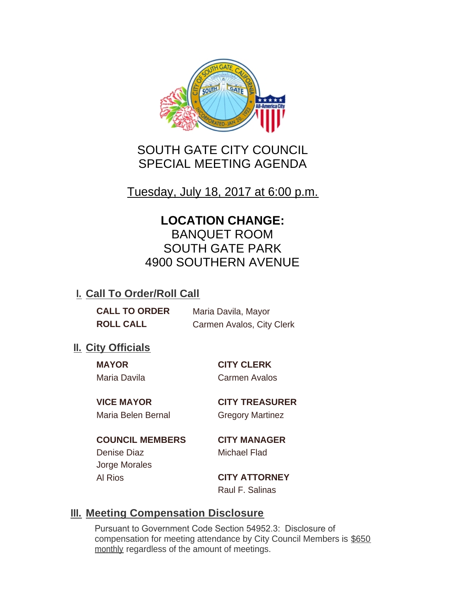

# SOUTH GATE CITY COUNCIL SPECIAL MEETING AGENDA

Tuesday, July 18, 2017 at 6:00 p.m.

# **LOCATION CHANGE:**

BANQUET ROOM SOUTH GATE PARK 4900 SOUTHERN AVENUE

## **I. Call To Order/Roll Call**

**CALL TO ORDER** Maria Davila, Mayor **ROLL CALL** Carmen Avalos, City Clerk

## **II.** City Officials

**MAYOR CITY CLERK** Maria Davila Carmen Avalos

Maria Belen Bernal **Gregory Martinez** 

**VICE MAYOR CITY TREASURER**

**COUNCIL MEMBERS CITY MANAGER** Denise Diaz Michael Flad Jorge Morales Al Rios **CITY ATTORNEY**

Raul F. Salinas

## **Meeting Compensation Disclosure III.**

Pursuant to Government Code Section 54952.3: Disclosure of compensation for meeting attendance by City Council Members is \$650 monthly regardless of the amount of meetings.